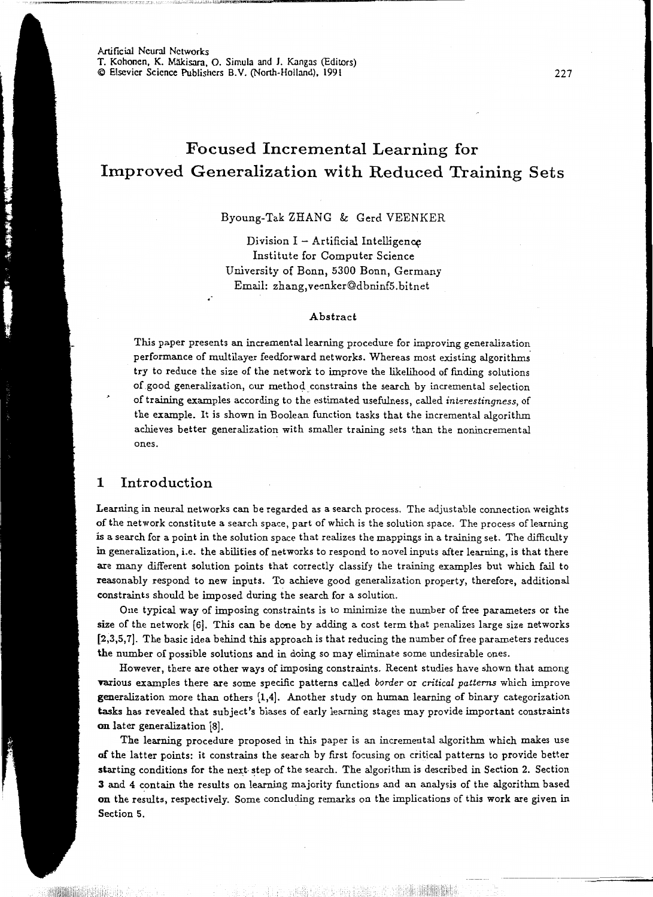Artificial Neural Networks T. Kohonen, K. Mäkisara, O. Simula and J. Kangas (Editors) © Elsevier Science Publishers B.V. (North-Holland), 1991 227

.·

.. J.I... Liiko laikut ja laikut liikut liikut liikut liikut liikut liikut liikut liikut laikut laikut laikut liikut liikut liikut liikut liikut liikut liikut liikut liikut liikut liikut liikut liikut liikut liikut liikut

# Focused Incremental Learning for Improved Generalization with Reduced Training Sets

### Byoung-Tak ZHANG & Gerd VEENKER

Division  $I -$  Artificial Intelligence Institute for Computer Science University of Bonn, 5300 Bonn, Germany Email: zhang, veenker@dbnin£5. bitnet

#### Abstract

This paper presents an incremental learning procedure for improving generalization performance of multilayer feedforward networks. Whereas most existing algorithms. try to reduce the *size* of the network to improve the likelihood of finding solutions of good generalization, our method. constrains the search by incremental selection of training examples according to the estimated usefulness, called *interestingness,* of the example. It is shown in Boolean function tasks that the incremental algorithm achieves better generalization with smaller training sets than the nonincremental ones.

# 1 Introduction

Learning in neural networks can be regarded as a search process. The adjustable connection weights of the network constitute a search space, part of which is the solution space. The process oflearning is a search for a point in the solution space that realizes the mappings in a training set. The difficulty in generalization, i.e. the abilities of networks to respond to novel inputs after learning, is that there are many different solution points that correctly classify the training examples but which fail to reasonably respond to new inputs. To achieve good generalization property, therefore, additional constraints should be imposed during the search for a solution.

One typical way of imposing constraints is to minimize the number of free parameters or the size of the network [6]. This can be done by adding a cost term that penalizes large size networks [2,3,5, 7]. The basic idea behind this approach is that reducing the number of free parameters reduces the number of possible solutions and in doing so may eliminate some undesirable ones.

However, there are other ways of imposing constraints. Recent studies have shown that among various examples there are some specific patterns called *border* or *critical patterns* which improve generalization more than others [1,4]. Another study on human learning of binary categorization tasks has revealed that subject's biases of early learning stages may provide important constraints on later generalization [8].

The learning procedure proposed in this paper *is* an incremental algorithm which makes use of the latter points: it constrains the search by first focusing on critical patterns to provide better starting conditions for the next step of the search. The algorithm is described in Section 2. Section 3 and 4 contain the results on learning majority functions and an analysis of the algorithm based on the results, respectively. Some concluding remarks on the implications of this work are given in Section 5.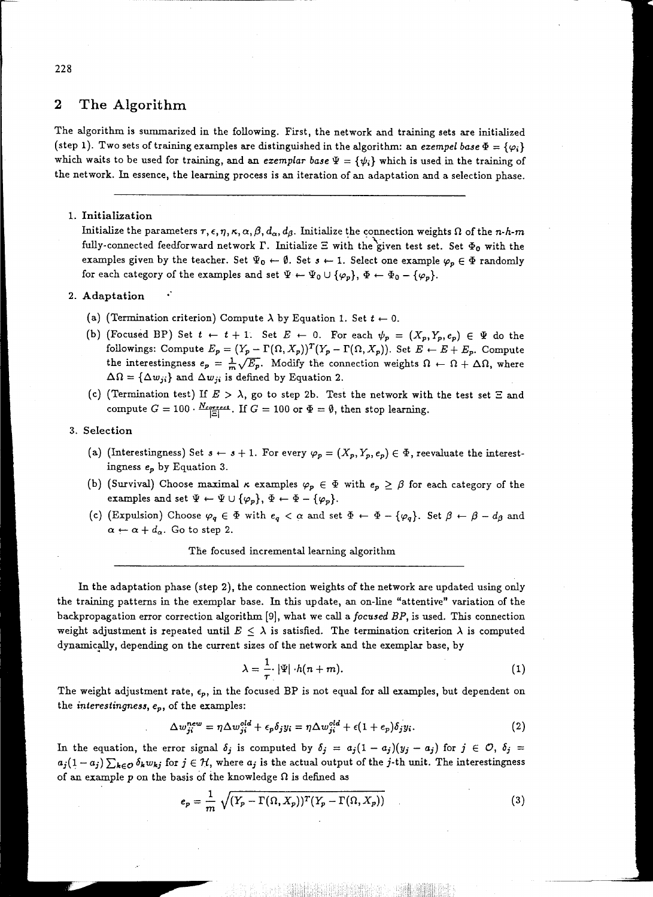# **2 The Algorithm**

The algorithm is summarized in the following. First, the network and training sets are initialized (step 1). Two sets of training examples are distinguished in the algorithm: an *exempel base*  $\Phi = {\varphi_i}$ } which waits to be used for training, and an *exemplar base*  $\Psi = {\psi_i}$  which is used in the training of the network. In essence, the learning process is an iteration of an adaptation and a selection phase.

#### 1. Initialization

Initialize the parameters  $\tau$ ,  $\epsilon$ ,  $\eta$ ,  $\kappa$ ,  $\alpha$ ,  $\beta$ ,  $d_{\alpha}$ ,  $d_{\beta}$ . Initialize the connection weights  $\Omega$  of the *n-h-m* fully-connected feedforward network  $\Gamma$ . Initialize  $\Xi$  with the given test set. Set  $\Phi_0$  with the examples given by the teacher. Set  $\Psi_0 \leftarrow \emptyset$ . Set  $s \leftarrow 1$ . Select one example  $\varphi_p \in \Phi$  randomly for each category of the examples and set  $\Psi \leftarrow \Psi_0 \cup {\{\varphi_p\}}, \Phi \leftarrow \Phi_0 - {\{\varphi_p\}}.$ 

#### 2. Adaptation

- (a) (Termination criterion) Compute  $\lambda$  by Equation 1. Set  $t \leftarrow 0$ .
- (b) (Focused BP) Set  $t \leftarrow t+1$ . Set  $E \leftarrow 0$ . For each  $\psi_p = (X_p, Y_p, e_p) \in \Psi$  do the followings: Compute  $E_p = (Y_p - \Gamma(\Omega, X_p))^T (Y_p - \Gamma(\Omega, X_p))$ . Set  $E \leftarrow E + E_p$ . Compute the interestingness  $e_p = \frac{1}{m} \sqrt{E_p}$ . Modify the connection weights  $\Omega \leftarrow \Omega + \Delta \Omega$ , where  $\Delta\Omega = {\Delta w_{ji}}$  and  $\Delta w_{ji}$  is defined by Equation 2.
- (c) (Termination test) If  $E > \lambda$ , go to step 2b. Test the network with the test set  $\Xi$  and compute  $G = 100 \cdot \frac{N_{correct}}{|E|}$ . If  $G = 100$  or  $\Phi = \emptyset$ , then stop learning.

#### 3. Selection

- (a) (Interestingness) Set  $s \leftarrow s + 1$ . For every  $\varphi_p = (X_p, Y_p, e_p) \in \Phi$ , reevaluate the interestingness *ep* by Equation 3.
- (b) (Survival) Choose maximal  $\kappa$  examples  $\varphi_p \in \Phi$  with  $e_p \geq \beta$  for each category of the examples and set  $\Psi \leftarrow \Psi \cup {\varphi_p}$ ,  $\Phi \leftarrow \Phi - {\varphi_p}$ .
- (c) (Expulsion) Choose  $\varphi_q \in \Phi$  with  $e_q < \alpha$  and set  $\Phi \leftarrow \Phi {\varphi_q}$ . Set  $\beta \leftarrow \beta d_{\beta}$  and  $\alpha \leftarrow \alpha + d_{\alpha}$ . Go to step 2.

The focused incremental learning algorithm

In the adaptation phase (step 2), the connection weights of the network are updated using only the training patterns in the exemplar base. In this update, an on-line "attentive" variation of the backpropagation error correction algorithm [9], what we call a *focused* BP, is used. This connection weight adjustment is repeated until  $E \leq \lambda$  is satisfied. The termination criterion  $\lambda$  is computed dynamically, depending on the current sizes of the network and the exemplar base, by

$$
\lambda = \frac{1}{\tau} |\Psi| \cdot h(n+m). \tag{1}
$$

The weight adjustment rate,  $\epsilon_p$ , in the focused BP is not equal for all examples, but dependent on the *interestingness, ep,* of the examples:

$$
\Delta w_{ji}^{new} = \eta \Delta w_{ji}^{old} + \epsilon_p \delta_j y_i = \eta \Delta w_{ji}^{old} + \epsilon (1 + \epsilon_p) \delta_j y_i.
$$
 (2)

In the equation, the error signal  $\delta_j$  is computed by  $\delta_j = a_j(1-a_j)(y_j-a_j)$  for  $j \in \mathcal{O}$ ,  $\delta_j =$  $a_j(1-a_j)\sum_{k\in\mathcal{O}}\delta_kw_{kj}$  for  $j\in\mathcal{H}$ , where  $a_j$  is the actual output of the j-th unit. The interestingness of an example  $p$  on the basis of the knowledge  $\Omega$  is defined as

$$
e_p = \frac{1}{m} \sqrt{(Y_p - \Gamma(\Omega, X_p))^T (Y_p - \Gamma(\Omega, X_p))}
$$
\n(3)

#### 228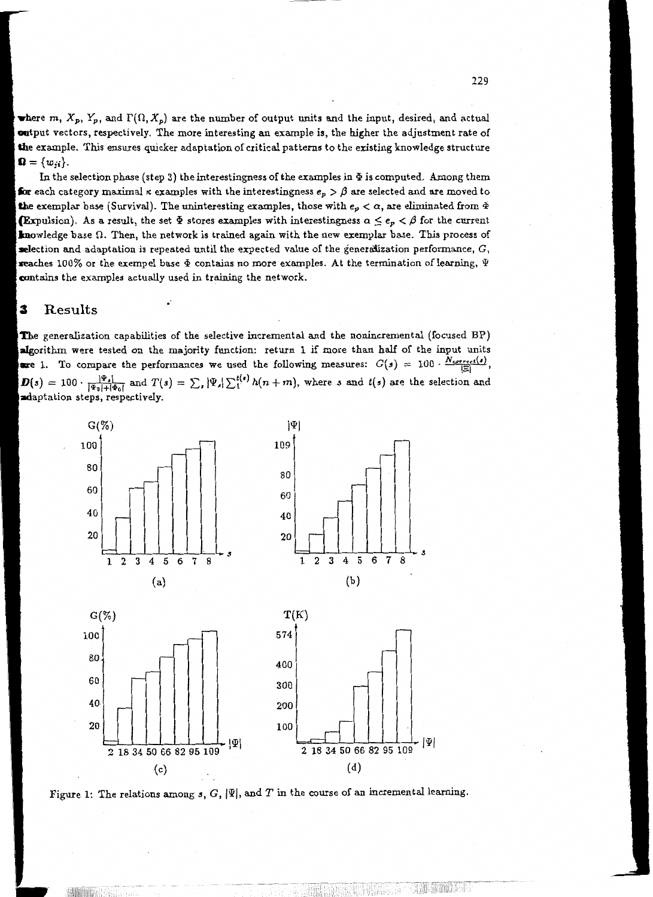where m,  $X_p$ ,  $Y_p$ , and  $\Gamma(\Omega, X_p)$  are the number of output units and the input, desired, and actual output vectors, respectively. The more interesting an example is, the higher the adjustment rate of the example. This ensures quicker adaptation of critical patterns to the existing knowledge structure  $\Omega = \{w_{ii}\}.$ 

In the selection phase (step 3) the interestingness of the examples in  $\Phi$  is computed. Among them for each category maximal  $\kappa$  examples with the interestingness  $e_\kappa > \beta$  are selected and are moved to **th**e exemplar base (Survival). The uninteresting examples, those with  $e_n < \alpha$ , are eliminated from  $\Phi$ **(Expulsion).** As a result, the set  $\Phi$  stores examples with interestingness  $\alpha \leq e_p < \beta$  for the current **knowledge base**  $\Omega$ **.** Then, the network is trained again with the new exemplar base. This process of selection and adaptation is repeated until the expected value of the generalization performance,  $G$ , reaches 100% or the exempel base  $\Phi$  contains no more examples. At the termination of learning,  $\Psi$ contains the examples actually used in training the network.

#### Results 3

The generalization capabilities of the selective incremental and the nonincremental (focused BP) algorithm were tested on the majority function: return 1 if more than half of the input units are 1. To compare the performances we used the following measures:  $G(s) = 100 \cdot \frac{N_{correct}(s)}{|z|}$ ,  $D(s) = 100 \cdot \frac{|\Psi_s|}{|\Psi_0| + |\Phi_0|}$  and  $T(s) = \sum_s |\Psi_s| \sum_1^{t(s)} h(n+m)$ , where s and  $t(s)$  are the selection and adaptation steps, respectively.



Figure 1: The relations among  $s,$   $G,$   $|\Psi|,$  and  $T$  in the course of an incremental learning.

翻譯的第三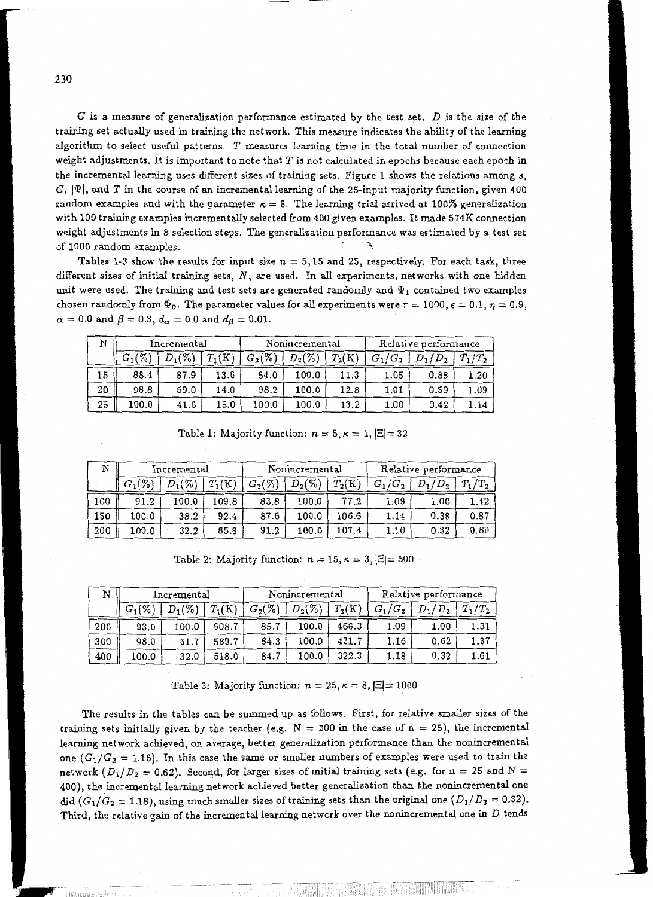G is a measure of generalization performance estimated by the test set.  $D$  is the size of the training set actually used in training the network. This measure indicates the ability of the learning algorithm to select useful patterns. *T* measures learning time in the total number of connection weight adjustments. It is important to note that *T* is not calculated in epochs because each epoch in the incremental learning uses different sizes of training sets. Figure 1 shows the relations among 3,  $G, |\Psi|$ , and T in the course of an incremental learning of the 25-input majority function, given 400 random examples and with the parameter  $\kappa = 8$ . The learning trial arrived at 100% generalization with 109 training examples incrementally selected from 400 given examples. It made 574K connection weight adjustments in 8 selection steps. The generalization performance was estimated by a test set of 1000 random examples.

Tables 1-3 show the results for input size  $n = 5,15$  and 25, respectively. For each task, three different sizes of initial training sets,  $N$ , are used. In all experiments, networks with one hidden unit were used. The training and test sets are generated randomly and  $\Psi_1$  contained two examples chosen randomly from  $\Phi_0$ . The parameter values for all experiments were  $r = 1000$ ,  $\epsilon = 0.1$ ,  $\eta = 0.9$ ,  $\alpha = 0.0$  and  $\beta = 0.3$ ,  $d_{\alpha} = 0.0$  and  $d_{\beta} = 0.01$ .

| N  | Incremental |           |          | Nonincremental |           |          | Relative performance |           |           |
|----|-------------|-----------|----------|----------------|-----------|----------|----------------------|-----------|-----------|
|    | $G_1(\%)$   | $D_1(\%)$ | $T_1(K)$ | $G_2(\% )$     | $D_2(\%)$ | $T_2(K)$ | $G_1/G_2$            | $D_1/D_2$ | $T_1/T_2$ |
| 15 | 88.4        | 87.9      | 13.6     | 84.0           | 100.0     | 11.3     | 1.05                 | 0.88      | 1.20      |
| 20 | 98.8        | 59.0      | 14.0     | 98.2           | 100.0     | 12.8     | 1.01                 | 0.59      | 1.09      |
| 25 | 100.0       | 41.6      | 15.0     | 100.0          | 100.0     | 13.2     | 1.00                 | 0.42      | .14       |

Table 1: Majority function:  $n = 5, \kappa = 1, |\Xi| = 32$ 

|     | Incremental |           |          | Nonincremental |           |          | Relative performance |           |           |
|-----|-------------|-----------|----------|----------------|-----------|----------|----------------------|-----------|-----------|
|     | $G_1(\% )$  | $D_1(\%)$ | $T_1(K)$ | $G_2(\%)$      | $D_2(\%)$ | $T_2(K)$ | $G_1/G_2$            | $D_1/D_2$ | $T_1/T_2$ |
| 100 | 91.2        | 100.0     | 109.8    | 83.8           | 100.0     | 77.2     | 1.09                 | 1.00      | 1.42      |
| 150 | 100.0       | 38.2      | 92.4     | 87.6           | 100.0     | 106.6    | 1.14                 | 0.38      | 0.87      |
| 200 | 100.0       | 32.2      | 85.8     | 91.2           | 100.0     | 107.4    | $_{1.10}$            | 0.32      | 0.80      |

Table 2: Majority function:  $n = 15$ ,  $\kappa = 3$ ,  $|\Xi| = 500$ 

| N   | Incremental |           |          | Nonincremental |           |          | Relative performance |           |           |  |
|-----|-------------|-----------|----------|----------------|-----------|----------|----------------------|-----------|-----------|--|
|     | $G_1(\%$    | $D_1(\%)$ | $T_1(K)$ | $G_{2}(\%)$    | $D_2(\%)$ | $T_2(K)$ | $G_1/G_2$            | $D_1/D_2$ | $T_1/T_2$ |  |
| 200 | 93.0        | 100.0     | 608.7    | 85.7           | 100.0     | 466.3    | 1.09                 | 1.00      | 1.31      |  |
| 300 | 98.0        | 61.7      | 589.7    | 84.3           | 100.0     | 431.7    | $1.16\,$             | 0.62      | 1.37      |  |
| 400 | 100.0       | 32.0      | 518.0    | 84.7           | 100.0     | 322.3    | 1.18                 | 0.32      | 1.61      |  |

Table 3: Majority function:  $n = 25$ ,  $\kappa = 8$ ,  $|\Xi| = 1000$ 

The results in the tables can be summed up as follows. First, for relative smaller sizes of the training sets initially given by the teacher (e.g.  $N = 300$  in the case of  $n = 25$ ), the incremental learning network achieved, on average, better generalization performance than the nonincremental one  $(G_1/G_2 = 1.16)$ . In this case the same or smaller numbers of examples were used to train the network  $(D_1/D_2 = 0.62)$ . Second, for larger sizes of initial training sets (e.g. for n = 25 and N = 400), the incremental learning network achieved better generalization than the nonincremental one did  $(G_1/G_2 = 1.18)$ , using much smaller sizes of training sets than the original one  $(D_1/D_2 = 0.32)$ . Third, the relative gain of the incremental learning network over the nonincremental one *in* D tends